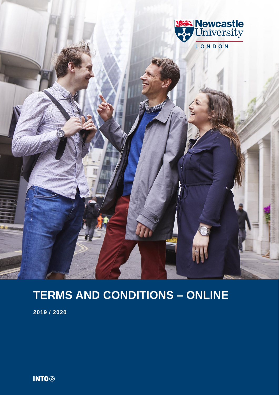

# **TERMS AND CONDITIONS – ONLINE**

**2019 / 2020**

**INTO**<sup>®</sup>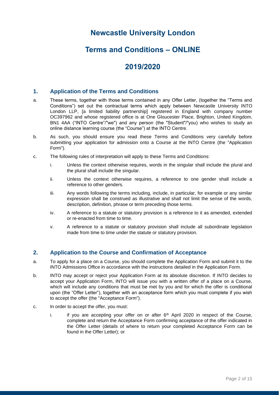# **Newcastle University London**

# **Terms and Conditions – ONLINE**

# **2019/2020**

## **1. Application of the Terms and Conditions**

- a. These terms, together with those terms contained in any Offer Letter, (together the "Terms and Conditions") set out the contractual terms which apply between Newcastle University INTO London LLP, [a limited liability partnership] registered in England with company number OC397962 and whose registered office is at One Gloucester Place, Brighton, United Kingdom, BN1 4AA ("INTO Centre"/"we") and any person (the "Student"/"you) who wishes to study an online distance learning course (the "Course") at the INTO Centre.
- b. As such, you should ensure you read these Terms and Conditions very carefully before submitting your application for admission onto a Course at the INTO Centre (the "Application Form").
- c. The following rules of interpretation will apply to these Terms and Conditions:
	- i. Unless the context otherwise requires, words in the singular shall include the plural and the plural shall include the singular.
	- ii. Unless the context otherwise requires, a reference to one gender shall include a reference to other genders.
	- iii. Any words following the terms including, include, in particular, for example or any similar expression shall be construed as illustrative and shall not limit the sense of the words, description, definition, phrase or term preceding those terms.
	- iv. A reference to a statute or statutory provision is a reference to it as amended, extended or re-enacted from time to time.
	- v. A reference to a statute or statutory provision shall include all subordinate legislation made from time to time under the statute or statutory provision.

## **2. Application to the Course and Confirmation of Acceptance**

- a. To apply for a place on a Course, you should complete the Application Form and submit it to the INTO Admissions Office in accordance with the instructions detailed in the Application Form.
- b. INTO may accept or reject your Application Form at its absolute discretion. If INTO decides to accept your Application Form, INTO will issue you with a written offer of a place on a Course, which will include any conditions that must be met by you and for which the offer is conditional upon (the "Offer Letter"), together with an acceptance form which you must complete if you wish to accept the offer (the "Acceptance Form").
- c. In order to accept the offer, you must:
	- i. if you are accepting your offer on or after  $6<sup>th</sup>$  April 2020 in respect of the Course, complete and return the Acceptance Form confirming acceptance of the offer indicated in the Offer Letter (details of where to return your completed Acceptance Form can be found in the Offer Letter); or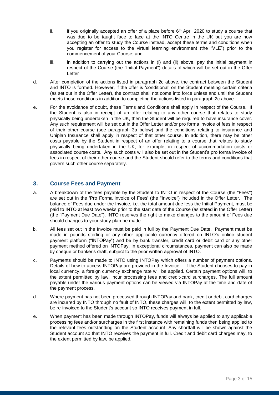- ii. if you originally accepted an offer of a place before  $6<sup>th</sup>$  April 2020 to study a course that was due to be taught face to face at the INTO Centre in the UK but you are now accepting an offer to study the Course instead, accept these terms and conditions when you register for access to the virtual learning environment (the "VLE") prior to the commencement of your Course; and
- iii. in addition to carrying out the actions in (i) and (ii) above, pay the initial payment in respect of the Course (the "Initial Payment") details of which will be set out in the Offer Letter
- d. After completion of the actions listed in paragraph 2c above, the contract between the Student and INTO is formed. However, if the offer is 'conditional' on the Student meeting certain criteria (as set out in the Offer Letter), the contract shall not come into force unless and until the Student meets those conditions in addition to completing the actions listed in paragraph 2c above.
- e. For the avoidance of doubt, these Terms and Conditions shall apply in respect of the Course. If the Student is also in receipt of an offer relating to any other course that relates to study physically being undertaken in the UK, then the Student will be required to have insurance cover. Any such requirement will be set out in the Offer Letter and/or pro forma invoice of fees in respect of their other course (see paragraph 3a below) and the conditions relating to insurance and Uniplan Insurance shall apply in respect of that other course. In addition, there may be other costs payable by the Student in respect of an offer relating to a course that relates to study physically being undertaken in the UK, for example, in respect of accommodation costs or associated course costs. Any such costs will also be set out in the Student's pro forma invoice of fees in respect of their other course and the Student should refer to the terms and conditions that govern such other course separately.

## **3. Course Fees and Payment**

- a. A breakdown of the fees payable by the Student to INTO in respect of the Course (the "Fees") are set out in the 'Pro Forma Invoice of Fees' (the "Invoice") included in the Offer Letter. The balance of Fees due under the Invoice, i.e. the total amount due less the Initial Payment, must be paid to INTO at least two weeks prior to the start date of the Course (as stated in the Offer Letter) (the "Payment Due Date"). INTO reserves the right to make changes to the amount of Fees due should changes to your study plan be made.
- b. All fees set out in the Invoice must be paid in full by the Payment Due Date. Payment must be made in pounds sterling or any other applicable currency offered on INTO's online student payment platform ("INTOPay") and be by bank transfer, credit card or debit card or any other payment method offered on INTOPay. In exceptional circumstances, payment can also be made by cheque or banker's draft, subject to the prior written approval of INTO.
- c. Payments should be made to INTO using INTOPay which offers a number of payment options. Details of how to access INTOPay are provided in the Invoice. If the Student chooses to pay in local currency, a foreign currency exchange rate will be applied. Certain payment options will, to the extent permitted by law, incur processing fees and credit-card surcharges. The full amount payable under the various payment options can be viewed via INTOPay at the time and date of the payment process.
- d. Where payment has not been processed through INTOPay and bank, credit or debit card charges are incurred by INTO through no fault of INTO, these charges will, to the extent permitted by law, be re-invoiced to the Student's account so INTO receives payment in full.
- e. When payment has been made through INTOPay, funds will always be applied to any applicable processing fees and/or surcharges in the first instance with remaining funds then being applied to the relevant fees outstanding on the Student account. Any shortfall will be shown against the Student account so that INTO receives the payment in full. Credit and debit card charges may, to the extent permitted by law, be applied.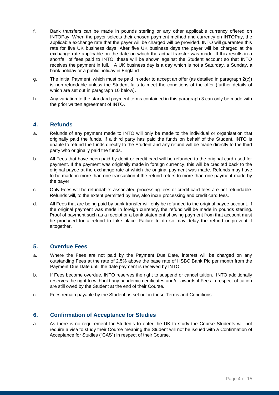- f. Bank transfers can be made in pounds sterling or any other applicable currency offered on INTOPay. When the payer selects their chosen payment method and currency on INTOPay, the applicable exchange rate that the payer will be charged will be provided. INTO will guarantee this rate for five UK business days. After five UK business days the payer will be charged at the exchange rate applicable on the date on which the actual transfer was made. If this results in a shortfall of fees paid to INTO, these will be shown against the Student account so that INTO receives the payment in full. A UK business day is a day which is not a Saturday, a Sunday, a bank holiday or a public holiday in England.
- g. The Initial Payment which must be paid in order to accept an offer (as detailed in paragraph 2(c)) is non-refundable unless the Student fails to meet the conditions of the offer (further details of which are set out in paragraph 10 below).
- h. Any variation to the standard payment terms contained in this paragraph 3 can only be made with the prior written agreement of INTO.

## **4. Refunds**

- a. Refunds of any payment made to INTO will only be made to the individual or organisation that originally paid the funds. If a third party has paid the funds on behalf of the Student, INTO is unable to refund the funds directly to the Student and any refund will be made directly to the third party who originally paid the funds.
- b. All Fees that have been paid by debit or credit card will be refunded to the original card used for payment. If the payment was originally made in foreign currency, this will be credited back to the original payee at the exchange rate at which the original payment was made. Refunds may have to be made in more than one transaction if the refund refers to more than one payment made by the payer.
- c. Only Fees will be refundable: associated processing fees or credit card fees are not refundable. Refunds will, to the extent permitted by law, also incur processing and credit card fees.
- d. All Fees that are being paid by bank transfer will only be refunded to the original payee account. If the original payment was made in foreign currency, the refund will be made in pounds sterling. Proof of payment such as a receipt or a bank statement showing payment from that account must be produced for a refund to take place. Failure to do so may delay the refund or prevent it altogether.

## **5. Overdue Fees**

- a. Where the Fees are not paid by the Payment Due Date, interest will be charged on any outstanding Fees at the rate of 2.5% above the base rate of HSBC Bank Plc per month from the Payment Due Date until the date payment is received by INTO.
- b. If Fees become overdue, INTO reserves the right to suspend or cancel tuition. INTO additionally reserves the right to withhold any academic certificates and/or awards if Fees in respect of tuition are still owed by the Student at the end of their Course.
- c. Fees remain payable by the Student as set out in these Terms and Conditions.

## **6. Confirmation of Acceptance for Studies**

a. As there is no requirement for Students to enter the UK to study the Course Students will not require a visa to study their Course meaning the Student will not be issued with a Confirmation of Acceptance for Studies ("CAS") in respect of their Course.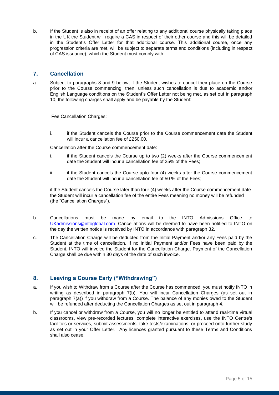b. If the Student is also in receipt of an offer relating to any additional course physically taking place in the UK the Student will require a CAS in respect of their other course and this will be detailed in the Student's Offer Letter for that additional course. This additional course, once any progression criteria are met, will be subject to separate terms and conditions (including in respect of CAS issuance), which the Student must comply with.

## **7. Cancellation**

a. Subject to paragraphs 8 and 9 below, if the Student wishes to cancel their place on the Course prior to the Course commencing, then, unless such cancellation is due to academic and/or English Language conditions on the Student's Offer Letter not being met, as set out in paragraph 10, the following charges shall apply and be payable by the Student:

Fee Cancellation Charges:

i. if the Student cancels the Course prior to the Course commencement date the Student will incur a cancellation fee of £250.00.

Cancellation after the Course commencement date:

- i. if the Student cancels the Course up to two (2) weeks after the Course commencement date the Student will incur a cancellation fee of 25% of the Fees;
- ii. if the Student cancels the Course upto four (4) weeks after the Course commencement date the Student will incur a cancellation fee of 50 % of the Fees;

if the Student cancels the Course later than four (4) weeks after the Course commencement date the Student will incur a cancellation fee of the entire Fees meaning no money will be refunded (the "Cancellation Charges").

- b. Cancellations must be made by email to the INTO Admissions Office to [UKadmissions@intoglobal.com.](mailto:UKadmissions@intoglobal.com) Cancellations will be deemed to have been notified to INTO on the day the written notice is received by INTO in accordance with paragraph 32.
- c. The Cancellation Charge will be deducted from the Initial Payment and/or any Fees paid by the Student at the time of cancellation. If no Initial Payment and/or Fees have been paid by the Student, INTO will invoice the Student for the Cancellation Charge. Payment of the Cancellation Charge shall be due within 30 days of the date of such invoice.

## **8. Leaving a Course Early ("Withdrawing")**

- a. If you wish to Withdraw from a Course after the Course has commenced, you must notify INTO in writing as described in paragraph 7(b). You will incur Cancellation Charges (as set out in paragraph 7(a)) if you withdraw from a Course. The balance of any monies owed to the Student will be refunded after deducting the Cancellation Charges as set out in paragraph 4.
- b. If you cancel or withdraw from a Course, you will no longer be entitled to attend real-time virtual classrooms, view pre-recorded lectures, complete interactive exercises, use the INTO Centre's facilities or services, submit assessments, take tests/examinations, or proceed onto further study as set out in your Offer Letter. Any licences granted pursuant to these Terms and Conditions shall also cease.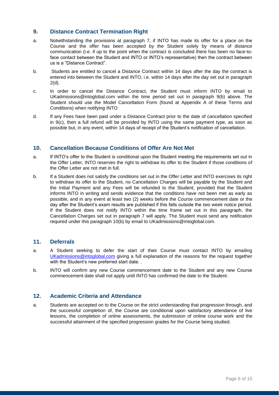## **9. Distance Contract Termination Right**

- a. Notwithstanding the provisions at paragraph 7, if INTO has made its offer for a place on the Course and the offer has been accepted by the Student solely by means of distance communication (i.e. if up to the point when the contract is concluded there has been no face-toface contact between the Student and INTO or INTO's representative) then the contract between us is a "Distance Contract".
- b. Students are entitled to cancel a Distance Contract within 14 days after the day the contract is entered into between the Student and INTO, i.e. within 14 days after the day set out in paragraph 2(d).
- c. In order to cancel the Distance Contract, the Student must inform INTO by email to UKadmissions@intoglobal.com within the time period set out in paragraph 9(b) above. The Student should use the Model Cancellation Form (found at Appendix A of these Terms and Conditions) when notifying INTO.
- d. If any Fees have been paid under a Distance Contract prior to the date of cancellation specified in 9(c), then a full refund will be provided by INTO using the same payment type, as soon as possible but, in any event, within 14 days of receipt of the Student's notification of cancellation.

## **10. Cancellation Because Conditions of Offer Are Not Met**

- a. If INTO's offer to the Student is conditional upon the Student meeting the requirements set out in the Offer Letter, INTO reserves the right to withdraw its offer to the Student if those conditions of the Offer Letter are not met in full.
- b. If a Student does not satisfy the conditions set out in the Offer Letter and INTO exercises its right to withdraw its offer to the Student, no Cancellation Charges will be payable by the Student and the Initial Payment and any Fees will be refunded to the Student, provided that the Student informs INTO in writing and sends evidence that the conditions have not been met as early as possible, and in any event at least two (2) weeks before the Course commencement date or the day after the Student's exam results are published if this falls outside the two week notice period. If the Student does not notify INTO within the time frame set out in this paragraph, the Cancellation Charges set out in paragraph 7 will apply. The Student must send any notification required under this paragraph 10(b) by email to UKadmissions@intoglobal.com.

## **11. Deferrals**

- a. A Student seeking to defer the start of their Course must contact INTO by emailing [UKadmissions@intoglobal.com](mailto:UKadmissions@intoglobal.com) giving a full explanation of the reasons for the request together with the Student's new preferred start date. .
- b. INTO will confirm any new Course commencement date to the Student and any new Course commencement date shall not apply until INTO has confirmed the date to the Student.

## **12. Academic Criteria and Attendance**

a. Students are accepted on to the Course on the strict understanding that progression through, and the successful completion of, the Course are conditional upon satisfactory attendance of live lessons, the completion of online assessments, the submission of online course work and the successful attainment of the specified progression grades for the Course being studied.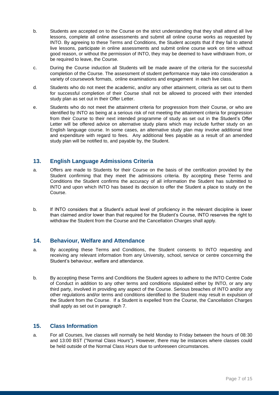- b. Students are accepted on to the Course on the strict understanding that they shall attend all live lessons, complete all online assessments and submit all online course works as requested by INTO. By agreeing to these Terms and Conditions, the Student accepts that if they fail to attend live lessons, participate in online assessments and submit online course work on time without good reason, or without the permission of INTO, they may be deemed to have withdrawn from, or be required to leave, the Course.
- c. During the Course induction all Students will be made aware of the criteria for the successful completion of the Course. The assessment of student performance may take into consideration a variety of coursework formats, online examinations and engagement in each live class.
- d. Students who do not meet the academic, and/or any other attainment, criteria as set out to them for successful completion of their Course shall not be allowed to proceed with their intended study plan as set out in their Offer Letter.
- e. Students who do not meet the attainment criteria for progression from their Course, or who are identified by INTO as being at a serious risk of not meeting the attainment criteria for progression from their Course to their next intended programme of study as set out in the Student's Offer Letter will be offered advice on alternative study plans which may include further study on an English language course. In some cases, an alternative study plan may involve additional time and expenditure with regard to fees. Any additional fees payable as a result of an amended study plan will be notified to, and payable by, the Student.

## **13. English Language Admissions Criteria**

- a. Offers are made to Students for their Course on the basis of the certification provided by the Student confirming that they meet the admissions criteria. By accepting these Terms and Conditions the Student confirms the accuracy of all information the Student has submitted to INTO and upon which INTO has based its decision to offer the Student a place to study on the Course.
- b. If INTO considers that a Student's actual level of proficiency in the relevant discipline is lower than claimed and/or lower than that required for the Student's Course, INTO reserves the right to withdraw the Student from the Course and the Cancellation Charges shall apply.

## **14. Behaviour, Welfare and Attendance**

- a. By accepting these Terms and Conditions, the Student consents to INTO requesting and receiving any relevant information from any University, school, service or centre concerning the Student's behaviour, welfare and attendance.
- b. By accepting these Terms and Conditions the Student agrees to adhere to the INTO Centre Code of Conduct in addition to any other terms and conditions stipulated either by INTO, or any any third party, involved in providing any aspect of the Course. Serious breaches of INTO and/or any other regulations and/or terms and conditions identified to the Student may result in expulsion of the Student from the Course. If a Student is expelled from the Course, the Cancellation Charges shall apply as set out in paragraph 7.

## **15. Class Information**

a. For all Courses, live classes will normally be held Monday to Friday between the hours of 08:30 and 13:00 BST ("Normal Class Hours"). However, there may be instances where classes could be held outside of the Normal Class Hours due to unforeseen circumstances.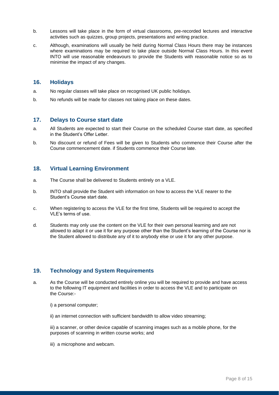- b. Lessons will take place in the form of virtual classrooms, pre-recorded lectures and interactive activities such as quizzes, group projects, presentations and writing practice.
- c. Although, examinations will usually be held during Normal Class Hours there may be instances where examinations may be required to take place outside Normal Class Hours. In this event INTO will use reasonable endeavours to provide the Students with reasonable notice so as to minimise the impact of any changes.

### **16. Holidays**

- a. No regular classes will take place on recognised UK public holidays.
- b. No refunds will be made for classes not taking place on these dates.

### **17. Delays to Course start date**

- a. All Students are expected to start their Course on the scheduled Course start date, as specified in the Student's Offer Letter.
- b. No discount or refund of Fees will be given to Students who commence their Course after the Course commencement date. if Students commence their Course late.

## **18. Virtual Learning Environment**

- a. The Course shall be delivered to Students entirely on a VLE.
- b. INTO shall provide the Student with information on how to access the VLE nearer to the Student's Course start date.
- c. When registering to access the VLE for the first time, Students will be required to accept the VLE's terms of use.
- d. Students may only use the content on the VLE for their own personal learning and are not allowed to adapt it or use it for any purpose other than the Student's learning of the Course nor is the Student allowed to distribute any of it to anybody else or use it for any other purpose.

## **19. Technology and System Requirements**

- a. As the Course will be conducted entirely online you will be required to provide and have access to the following IT equipment and facilities in order to access the VLE and to participate on the Course:
	- i) a personal computer;
	- ii) an internet connection with sufficient bandwidth to allow video streaming;

iii) a scanner, or other device capable of scanning images such as a mobile phone, for the purposes of scanning in written course works; and

iii) a microphone and webcam.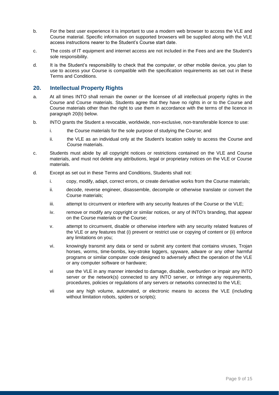- b. For the best user experience it is important to use a modern web browser to access the VLE and Course material. Specific information on supported browsers will be supplied along with the VLE access instructions nearer to the Student's Course start date.
- c. The costs of IT equipment and internet access are not included in the Fees and are the Student's sole responsibility.
- d. It is the Student's responsibility to check that the computer, or other mobile device, you plan to use to access your Course is compatible with the specification requirements as set out in these Terms and Conditions.

## **20. Intellectual Property Rights**

- a. At all times INTO shall remain the owner or the licensee of all intellectual property rights in the Course and Course materials. Students agree that they have no rights in or to the Course and Course materials other than the right to use them in accordance with the terms of the licence in paragraph 20(b) below.
- b. INTO grants the Student a revocable, worldwide, non-exclusive, non-transferable licence to use:
	- i. the Course materials for the sole purpose of studying the Course; and
	- ii. the VLE as an individual only at the Student's location solely to access the Course and Course materials.
- c. Students must abide by all copyright notices or restrictions contained on the VLE and Course materials, and must not delete any attributions, legal or proprietary notices on the VLE or Course materials.
- d. Except as set out in these Terms and Conditions, Students shall not:
	- i. copy, modify, adapt, correct errors, or create derivative works from the Course materials;
	- ii. decode, reverse engineer, disassemble, decompile or otherwise translate or convert the Course materials;
	- iii. attempt to circumvent or interfere with any security features of the Course or the VLE;
	- iv. remove or modify any copyright or similar notices, or any of INTO's branding, that appear on the Course materials or the Course;
	- v. attempt to circumvent, disable or otherwise interfere with any security related features of the VLE or any features that (i) prevent or restrict use or copying of content or (ii) enforce any limitations on you;
	- vi. knowingly transmit any data or send or submit any content that contains viruses, Trojan horses, worms, time-bombs, key-stroke loggers, spyware, adware or any other harmful programs or similar computer code designed to adversely affect the operation of the VLE or any computer software or hardware;
	- vi use the VLE in any manner intended to damage, disable, overburden or impair any INTO server or the network(s) connected to any INTO server, or infringe any requirements, procedures, policies or regulations of any servers or networks connected to the VLE;
	- vii use any high volume, automated, or electronic means to access the VLE (including without limitation robots, spiders or scripts);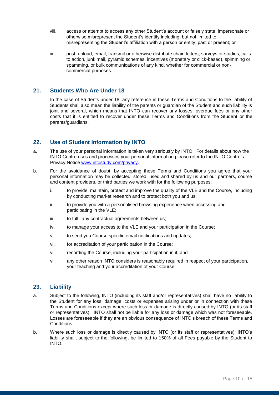- viii. access or attempt to access any other Student's account or falsely state, impersonate or otherwise misrepresent the Student's identity including, but not limited to, misrepresenting the Student's affiliation with a person or entity, past or present; or
- ix. post, upload, email, transmit or otherwise distribute chain letters, surveys or studies, calls to action, junk mail, pyramid schemes, incentives (monetary or click-based), spimming or spamming, or bulk communications of any kind, whether for commercial or noncommercial purposes.

## **21. Students Who Are Under 18**

In the case of Students under 18, any reference in these Terms and Conditions to the liability of Students shall also mean the liability of the parents or guardian of the Student and such liability is joint and several, which means that INTO can recover any losses, overdue fees or any other costs that it is entitled to recover under these Terms and Conditions from the Student or the parents/guardians.

## **22. Use of Student Information by INTO**

- a. The use of your personal information is taken very seriously by INTO. For details about how the INTO Centre uses and processes your personal information please refer to the INTO Centre's Privacy Notice [www.intostudy.com/privacy.](http://www.intostudy.com/privacy)
- b. For the avoidance of doubt, by accepting these Terms and Conditions you agree that your personal information may be collected, stored, used and shared by us and our partners, course and content providers, or third parties we work with for the following purposes:
	- i. to provide, maintain, protect and improve the quality of the VLE and the Course, including by conducting market research and to protect both you and us;
	- ii. to provide you with a personalised browsing experience when accessing and participating in the VLE;
	- iii. to fulfil any contractual agreements between us;
	- iv. to manage your access to the VLE and your participation in the Course;
	- v. to send you Course specific email notifications and updates;
	- vi. for accreditation of your participation in the Course;
	- vii. recording the Course, including your participation in it; and
	- viii any other reason INTO considers is reasonably required in respect of your participation, your teaching and your accreditation of your Course.

## **23. Liability**

- a. Subject to the following, INTO (including its staff and/or representatives) shall have no liability to the Student for any loss, damage, costs or expenses arising under or in connection with these Terms and Conditions except where such loss or damage is directly caused by INTO (or its staff or representatives). INTO shall not be liable for any loss or damage which was not foreseeable. Losses are foreseeable if they are an obvious consequence of INTO's breach of these Terms and Conditions.
- b. Where such loss or damage is directly caused by INTO (or its staff or representatives), INTO's liability shall, subject to the following, be limited to 150% of all Fees payable by the Student to INTO.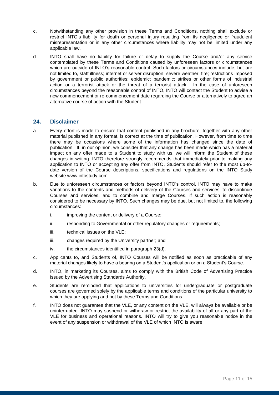- c. Notwithstanding any other provision in these Terms and Conditions, nothing shall exclude or restrict INTO's liability for death or personal injury resulting from its negligence or fraudulent misrepresentation or in any other circumstances where liability may not be limited under any applicable law.
- d. INTO shall have no liability for failure or delay to supply the Course and/or any service contemplated by these Terms and Conditions caused by unforeseen factors or circumstances which are outside of INTO's reasonable control. Such factors or circumstances include, but are not limited to, staff illness; internet or server disruption; severe weather; fire; restrictions imposed by government or public authorities; epidemic; pandemic; strikes or other forms of industrial action or a terrorist attack or the threat of a terrorist attack. In the case of unforeseen circumstances beyond the reasonable control of INTO, INTO will contact the Student to advise a new commencement or re-commencement date regarding the Course or alternatively to agree an alternative course of action with the Student.

## **24. Disclaimer**

- a. Every effort is made to ensure that content published in any brochure, together with any other material published in any format, is correct at the time of publication. However, from time to time there may be occasions where some of the information has changed since the date of publication. If, in our opinion, we consider that any change has been made which has a material impact on any offer made to a Student to study with us, we will inform the Student of these changes in writing. INTO therefore strongly recommends that immediately prior to making any application to INTO or accepting any offer from INTO, Students should refer to the most up-todate version of the Course descriptions, specifications and regulations on the INTO Study website www.intostudy.com.
- b. Due to unforeseen circumstances or factors beyond INTO's control, INTO may have to make variations to the contents and methods of delivery of the Courses and services, to discontinue Courses and services, and to combine and merge Courses, if such action is reasonably considered to be necessary by INTO. Such changes may be due, but not limited to, the following circumstances:
	- i. improving the content or delivery of a Course;
	- ii. responding to Governmental or other regulatory changes or requirements;
	- iii. technical issues on the VLE;
	- iii. changes required by the University partner; and
	- iv. the circumstances identified in paragraph 23(d).
- c. Applicants to, and Students of, INTO Courses will be notified as soon as practicable of any material changes likely to have a bearing on a Student's application or on a Student's Course.
- d. INTO, in marketing its Courses, aims to comply with the British Code of Advertising Practice issued by the Advertising Standards Authority.
- e. Students are reminded that applications to universities for undergraduate or postgraduate courses are governed solely by the applicable terms and conditions of the particular university to which they are applying and not by these Terms and Conditions.
- f. INTO does not guarantee that the VLE, or any content on the VLE, will always be available or be uninterrupted. INTO may suspend or withdraw or restrict the availability of all or any part of the VLE for business and operational reasons. INTO will try to give you reasonable notice in the event of any suspension or withdrawal of the VLE of which INTO is aware.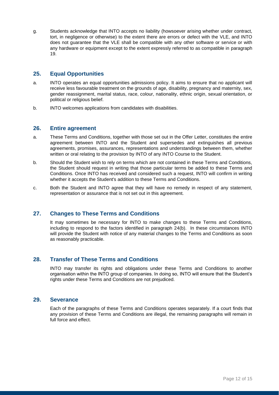g. Students acknowledge that INTO accepts no liability (howsoever arising whether under contract, tort, in negligence or otherwise) to the extent there are errors or defect with the VLE, and INTO does not guarantee that the VLE shall be compatible with any other software or service or with any hardware or equipment except to the extent expressly referred to as compatible in paragraph 19.

## **25. Equal Opportunities**

- a. INTO operates an equal opportunities admissions policy. It aims to ensure that no applicant will receive less favourable treatment on the grounds of age, disability, pregnancy and maternity, sex, gender reassignment, marital status, race, colour, nationality, ethnic origin, sexual orientation, or political or religious belief.
- b. INTO welcomes applications from candidates with disabilities.

### **26. Entire agreement**

- a. These Terms and Conditions, together with those set out in the Offer Letter, constitutes the entire agreement between INTO and the Student and supersedes and extinguishes all previous agreements, promises, assurances, representations and understandings between them, whether written or oral relating to the provision by INTO of any INTO Course to the Student.
- b. Should the Student wish to rely on terms which are not contained in these Terms and Conditions, the Student should request in writing that those particular terms be added to these Terms and Conditions. Once INTO has received and considered such a request, INTO will confirm in writing whether it accepts the Student's addition to these Terms and Conditions.
- c. Both the Student and INTO agree that they will have no remedy in respect of any statement, representation or assurance that is not set out in this agreement.

## **27. Changes to These Terms and Conditions**

It may sometimes be necessary for INTO to make changes to these Terms and Conditions, including to respond to the factors identified in paragraph 24(b). In these circumstances INTO will provide the Student with notice of any material changes to the Terms and Conditions as soon as reasonably practicable.

## **28. Transfer of These Terms and Conditions**

INTO may transfer its rights and obligations under these Terms and Conditions to another organisation within the INTO group of companies. In doing so, INTO will ensure that the Student's rights under these Terms and Conditions are not prejudiced.

#### **29. Severance**

Each of the paragraphs of these Terms and Conditions operates separately. If a court finds that any provision of these Terms and Conditions are illegal, the remaining paragraphs will remain in full force and effect.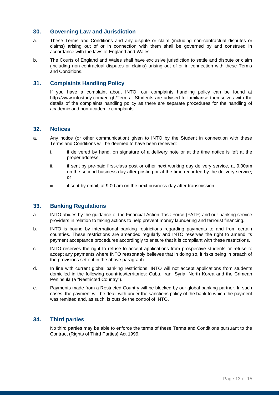### **30. Governing Law and Jurisdiction**

- a. These Terms and Conditions and any dispute or claim (including non-contractual disputes or claims) arising out of or in connection with them shall be governed by and construed in accordance with the laws of England and Wales.
- b. The Courts of England and Wales shall have exclusive jurisdiction to settle and dispute or claim (including non-contractual disputes or claims) arising out of or in connection with these Terms and Conditions.

## **31. Complaints Handling Policy**

If you have a complaint about INTO, our complaints handling policy can be found at [http://www.intostudy.com/en-gb/Terms.](http://www.intostudy.com/en-gb/Terms) Students are advised to familiarise themselves with the details of the complaints handling policy as there are separate procedures for the handling of academic and non-academic complaints.

### **32. Notices**

- a. Any notice (or other communication) given to INTO by the Student in connection with these Terms and Conditions will be deemed to have been received:
	- i. if delivered by hand, on signature of a delivery note or at the time notice is left at the proper address;
	- ii. if sent by pre-paid first-class post or other next working day delivery service, at 9.00am on the second business day after posting or at the time recorded by the delivery service; or
	- iii. if sent by email, at 9.00 am on the next business day after transmission.

#### **33. Banking Regulations**

- a. INTO abides by the guidance of the Financial Action Task Force (FATF) and our banking service providers in relation to taking actions to help prevent money laundering and terrorist financing.
- b. INTO is bound by international banking restrictions regarding payments to and from certain countries. These restrictions are amended regularly and INTO reserves the right to amend its payment acceptance procedures accordingly to ensure that it is compliant with these restrictions.
- c. INTO reserves the right to refuse to accept applications from prospective students or refuse to accept any payments where INTO reasonably believes that in doing so, it risks being in breach of the provisions set out in the above paragraph.
- d. In line with current global banking restrictions, INTO will not accept applications from students domiciled in the following countries/territories: Cuba, Iran, Syria, North Korea and the Crimean Peninsula (a "Restricted Country").
- e. Payments made from a Restricted Country will be blocked by our global banking partner. In such cases, the payment will be dealt with under the sanctions policy of the bank to which the payment was remitted and, as such, is outside the control of INTO.

## **34. Third parties**

No third parties may be able to enforce the terms of these Terms and Conditions pursuant to the Contract (Rights of Third Parties) Act 1999.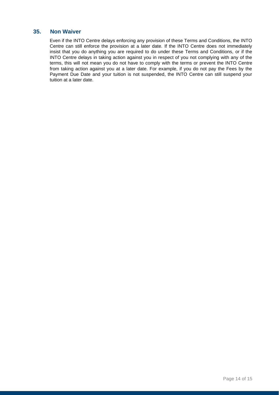## **35. Non Waiver**

Even if the INTO Centre delays enforcing any provision of these Terms and Conditions, the INTO Centre can still enforce the provision at a later date. If the INTO Centre does not immediately insist that you do anything you are required to do under these Terms and Conditions, or if the INTO Centre delays in taking action against you in respect of you not complying with any of the terms, this will not mean you do not have to comply with the terms or prevent the INTO Centre from taking action against you at a later date. For example, if you do not pay the Fees by the Payment Due Date and your tuition is not suspended, the INTO Centre can still suspend your tuition at a later date.